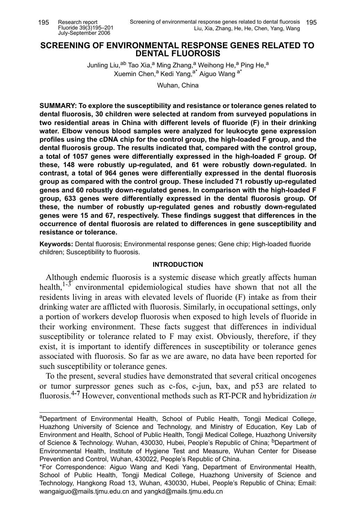# **SCREENING OF ENVIRONMENTAL RESPONSE GENES RELATED TO DENTAL FLUOROSIS**

Junling Liu,<sup>ab</sup> Tao Xia,<sup>a</sup> Ming Zhang,<sup>a</sup> Weihong He,<sup>a</sup> Ping He,<sup>a</sup> Xuemin Chen,<sup>a</sup> Kedi Yang,<sup>a\*</sup> Aiguo Wang a\*

Wuhan, China

**SUMMARY: To explore the susceptibility and resistance or tolerance genes related to dental fluorosis, 30 children were selected at random from surveyed populations in two residential areas in China with different levels of fluoride (F) in their drinking water. Elbow venous blood samples were analyzed for leukocyte gene expression profiles using the cDNA chip for the control group, the high-loaded F group, and the dental fluorosis group. The results indicated that, compared with the control group, a total of 1057 genes were differentially expressed in the high-loaded F group. Of these, 148 were robustly up-regulated, and 61 were robustly down-regulated. In contrast, a total of 964 genes were differentially expressed in the dental fluorosis group as compared with the control group. These included 71 robustly up-regulated genes and 60 robustly down-regulated genes. In comparison with the high-loaded F group, 633 genes were differentially expressed in the dental fluorosis group. Of these, the number of robustly up-regulated genes and robustly down-regulated genes were 15 and 67, respectively. These findings suggest that differences in the occurrence of dental fluorosis are related to differences in gene susceptibility and resistance or tolerance.**

**Keywords:** Dental fluorosis; Environmental response genes; Gene chip; High-loaded fluoride children; Susceptibility to fluorosis.

#### **INTRODUCTION**

Although endemic fluorosis is a systemic disease which greatly affects human health, $1-\frac{3}{2}$  environmental epidemiological studies have shown that not all the residents living in areas with elevated levels of fluoride (F) intake as from their drinking water are afflicted with fluorosis. Similarly, in occupational settings, only a portion of workers develop fluorosis when exposed to high levels of fluoride in their working environment. These facts suggest that differences in individual susceptibility or tolerance related to F may exist. Obviously, therefore, if they exist, it is important to identify differences in susceptibility or tolerance genes associated with fluorosis. So far as we are aware, no data have been reported for such susceptibility or tolerance genes.

To the present, several studies have demonstrated that several critical oncogenes or tumor surpressor genes such as c-fos, c-jun, bax, and p53 are related to fluorosis.4**-7** However, conventional methods such as RT-PCR and hybridization *in*

aDepartment of Environmental Health, School of Public Health, Tongji Medical College, Huazhong University of Science and Technology, and Ministry of Education, Key Lab of Environment and Health, School of Public Health, Tongji Medical College, Huazhong University of Science & Technology. Wuhan, 430030, Hubei, People's Republic of China; <sup>b</sup>Department of Environmental Health, Institute of Hygiene Test and Measure, Wuhan Center for Disease Prevention and Control, Wuhan, 430022, People's Republic of China.

<sup>\*</sup>For Correspondence: Aiguo Wang and Kedi Yang, Department of Environmental Health, School of Public Health, Tongji Medical College, Huazhong University of Science and Technology, Hangkong Road 13, Wuhan, 430030, Hubei, People's Republic of China; Email: wangaiguo@mails.tjmu.edu.cn and yangkd@mails.tjmu.edu.cn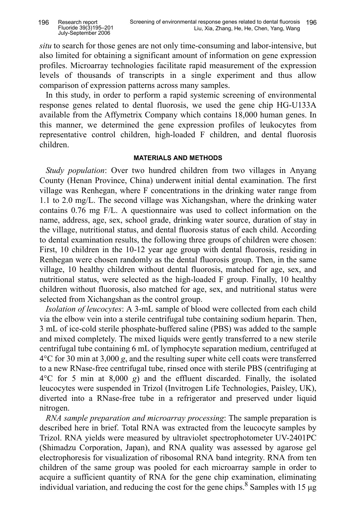*situ* to search for those genes are not only time-consuming and labor-intensive, but also limited for obtaining a significant amount of information on gene expression profiles. Microarray technologies facilitate rapid measurement of the expression levels of thousands of transcripts in a single experiment and thus allow comparison of expression patterns across many samples.

In this study, in order to perform a rapid systemic screening of environmental response genes related to dental fluorosis, we used the gene chip HG-U133A available from the Affymetrix Company which contains 18,000 human genes. In this manner, we determined the gene expression profiles of leukocytes from representative control children, high-loaded F children, and dental fluorosis children.

#### **MATERIALS AND METHODS**

*Study population*: Over two hundred children from two villages in Anyang County (Henan Province, China) underwent initial dental examination. The first village was Renhegan, where F concentrations in the drinking water range from 1.1 to 2.0 mg/L. The second village was Xichangshan, where the drinking water contains 0.76 mg F/L. A questionnaire was used to collect information on the name, address, age, sex, school grade, drinking water source, duration of stay in the village, nutritional status, and dental fluorosis status of each child. According to dental examination results, the following three groups of children were chosen: First, 10 children in the 10-12 year age group with dental fluorosis, residing in Renhegan were chosen randomly as the dental fluorosis group. Then, in the same village, 10 healthy children without dental fluorosis, matched for age, sex, and nutritional status, were selected as the high-loaded F group. Finally, 10 healthy children without fluorosis, also matched for age, sex, and nutritional status were selected from Xichangshan as the control group.

*Isolation of leucocytes*: A 3-mL sample of blood were collected from each child via the elbow vein into a sterile centrifugal tube containing sodium heparin. Then, 3 mL of ice-cold sterile phosphate-buffered saline (PBS) was added to the sample and mixed completely. The mixed liquids were gently transferred to a new sterile centrifugal tube containing 6 mL of lymphocyte separation medium, centrifuged at 4°C for 30 min at 3,000 *g*, and the resulting super white cell coats were transferred to a new RNase-free centrifugal tube, rinsed once with sterile PBS (centrifuging at 4°C for 5 min at 8,000 *g*) and the effluent discarded. Finally, the isolated leucocytes were suspended in Trizol (Invitrogen Life Technologies, Paisley, UK), diverted into a RNase-free tube in a refrigerator and preserved under liquid nitrogen.

*RNA sample preparation and microarray processing*: The sample preparation is described here in brief. Total RNA was extracted from the leucocyte samples by Trizol. RNA yields were measured by ultraviolet spectrophotometer UV-2401PC (Shimadzu Corporation, Japan), and RNA quality was assessed by agarose gel electrophoresis for visualization of ribosomal RNA band integrity. RNA from ten children of the same group was pooled for each microarray sample in order to acquire a sufficient quantity of RNA for the gene chip examination, eliminating individual variation, and reducing the cost for the gene chips.  $8$  Samples with 15 µg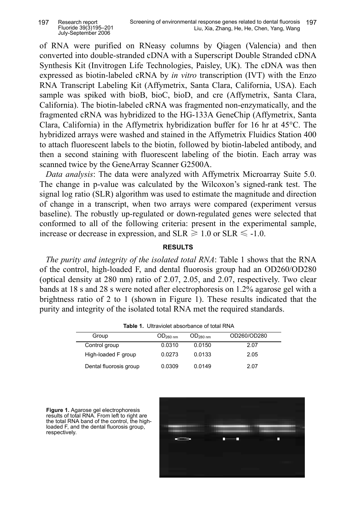of RNA were purified on RNeasy columns by Qiagen (Valencia) and then converted into double-stranded cDNA with a Superscript Double Stranded cDNA Synthesis Kit (Invitrogen Life Technologies, Paisley, UK). The cDNA was then expressed as biotin-labeled cRNA by *in vitro* transcription (IVT) with the Enzo RNA Transcript Labeling Kit (Affymetrix, Santa Clara, California, USA). Each sample was spiked with bioB, bioC, bioD, and cre (Affymetrix, Santa Clara, California). The biotin-labeled cRNA was fragmented non-enzymatically, and the fragmented cRNA was hybridized to the HG-133A GeneChip (Affymetrix, Santa Clara, California) in the Affymetrix hybridization buffer for 16 hr at 45°C. The hybridized arrays were washed and stained in the Affymetrix Fluidics Station 400 to attach fluorescent labels to the biotin, followed by biotin-labeled antibody, and then a second staining with fluorescent labeling of the biotin. Each array was scanned twice by the GeneArray Scanner G2500A.

*Data analysis*: The data were analyzed with Affymetrix Microarray Suite 5.0. The change in p-value was calculated by the Wilcoxon's signed-rank test. The signal log ratio (SLR) algorithm was used to estimate the magnitude and direction of change in a transcript, when two arrays were compared (experiment versus baseline). The robustly up-regulated or down-regulated genes were selected that conformed to all of the following criteria: present in the experimental sample, increase or decrease in expression, and  $SLR \ge 1.0$  or  $SLR \le -1.0$ .

## **RESULTS**

*The purity and integrity of the isolated total RNA*: Table 1 shows that the RNA of the control, high-loaded F, and dental fluorosis group had an OD260/OD280 (optical density at 280 nm) ratio of 2.07, 2.05, and 2.07, respectively. Two clear bands at 18 s and 28 s were noted after electrophoresis on 1.2% agarose gel with a brightness ratio of 2 to 1 (shown in Figure 1). These results indicated that the purity and integrity of the isolated total RNA met the required standards.

|                        |                      | <b>TUDIO 1.</b> ONIGHUIGLADOOIDAHOG OF LOLAL I VIVIT |             |
|------------------------|----------------------|------------------------------------------------------|-------------|
| Group                  | OD <sub>260 nm</sub> | OD <sub>280 nm</sub>                                 | OD260/OD280 |
| Control group          | 0.0310               | 0.0150                                               | 2.07        |
| High-loaded F group    | 0.0273               | 0.0133                                               | 2.05        |
| Dental fluorosis group | 0.0309               | 0.0149                                               | 2.07        |

**Table 1.** Ultraviolet absorbance of total RNA

**Figure 1.** Agarose gel electrophoresis results of total RNA. From left to right are the total RNA band of the control, the highloaded F, and the dental fluorosis group, respectively.

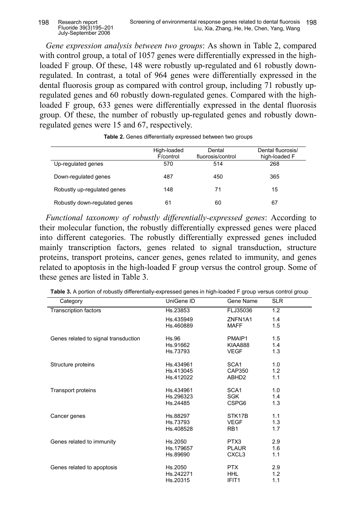*Gene expression analysis between two groups*: As shown in Table 2, compared with control group, a total of 1057 genes were differentially expressed in the highloaded F group. Of these, 148 were robustly up-regulated and 61 robustly downregulated. In contrast, a total of 964 genes were differentially expressed in the dental fluorosis group as compared with control group, including 71 robustly upregulated genes and 60 robustly down-regulated genes. Compared with the highloaded F group, 633 genes were differentially expressed in the dental fluorosis group. Of these, the number of robustly up-regulated genes and robustly downregulated genes were 15 and 67, respectively.

|                               | High-loaded<br>F/control | Dental<br>fluorosis/control | Dental fluorosis/<br>high-loaded F |
|-------------------------------|--------------------------|-----------------------------|------------------------------------|
| Up-regulated genes            | 570                      | 514                         | 268                                |
| Down-regulated genes          | 487                      | 450                         | 365                                |
| Robustly up-regulated genes   | 148                      | 71                          | 15                                 |
| Robustly down-regulated genes | 61                       | 60                          | 67                                 |

**Table 2.** Genes differentially expressed between two groups

*Functional taxonomy of robustly differentially-expressed genes*: According to their molecular function, the robustly differentially expressed genes were placed into different categories. The robustly differentially expressed genes included mainly transcription factors, genes related to signal transduction, structure proteins, transport proteins, cancer genes, genes related to immunity, and genes related to apoptosis in the high-loaded F group versus the control group. Some of these genes are listed in Table 3.

| Category                             | UniGene ID | Gene Name         | <b>SLR</b> |
|--------------------------------------|------------|-------------------|------------|
| <b>Transcription factors</b>         | Hs.23853   | FLJ35036          | 1.2        |
|                                      | Hs.435949  | ZNFN1A1           | 1.4        |
|                                      | Hs.460889  | <b>MAFF</b>       | 1.5        |
| Genes related to signal transduction | Hs.96      | PMAIP1            | 1.5        |
|                                      | Hs.91662   | <b>KIAA888</b>    | 1.4        |
|                                      | Hs.73793   | <b>VEGF</b>       | 1.3        |
| Structure proteins                   | Hs.434961  | SCA1              | 1.0        |
|                                      | Hs.413045  | CAP350            | 1.2        |
|                                      | Hs.412022  | ABHD <sub>2</sub> | 1.1        |
| <b>Transport proteins</b>            | Hs.434961  | SCA <sub>1</sub>  | 1.0        |
|                                      | Hs.296323  | <b>SGK</b>        | 1.4        |
|                                      | Hs.24485   | CSPG6             | 1.3        |
| Cancer genes                         | Hs.88297   | STK17B            | 1.1        |
|                                      | Hs.73793   | <b>VEGF</b>       | 1.3        |
|                                      | Hs.408528  | R <sub>B</sub> 1  | 1.7        |
| Genes related to immunity            | Hs.2050    | PTX3              | 2.9        |
|                                      | Hs.179657  | <b>PLAUR</b>      | 1.6        |
|                                      | Hs.89690   | CXCL3             | 1.1        |
| Genes related to apoptosis           | Hs.2050    | <b>PTX</b>        | 2.9        |
|                                      | Hs.242271  | <b>HHL</b>        | 1.2        |
|                                      | Hs.20315   | IFIT <sub>1</sub> | 1.1        |

**Table 3.** A portion of robustly differentially-expressed genes in high-loaded F group versus control group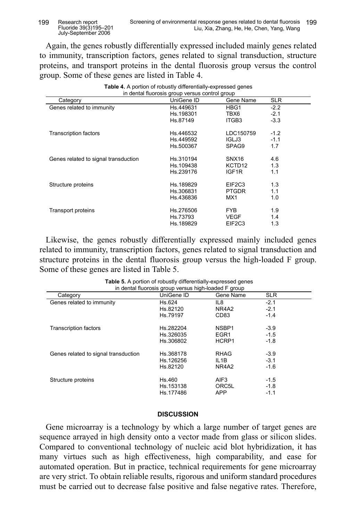Again, the genes robustly differentially expressed included mainly genes related to immunity, transcription factors, genes related to signal transduction, structure proteins, and transport proteins in the dental fluorosis group versus the control group. Some of these genes are listed in Table 4.

| <b>Table 4.</b> A portion of robustly differentially-expressed genes<br>in dental fluorosis group versus control group |            |                                 |            |  |
|------------------------------------------------------------------------------------------------------------------------|------------|---------------------------------|------------|--|
| Category                                                                                                               | UniGene ID | Gene Name                       | <b>SLR</b> |  |
| Genes related to immunity                                                                                              | Hs.449631  | HBG1                            | $-2.2$     |  |
|                                                                                                                        | Hs.198301  | TBX6                            | $-2.1$     |  |
|                                                                                                                        | Hs.87149   | ITGB3                           | $-3.3$     |  |
| <b>Transcription factors</b>                                                                                           | Hs.446532  | LDC150759                       | $-1.2$     |  |
|                                                                                                                        | Hs.449592  | IGLJ3                           | $-1.1$     |  |
|                                                                                                                        | Hs.500367  | SPAG9                           | 1.7        |  |
| Genes related to signal transduction                                                                                   | Hs.310194  | SNX <sub>16</sub>               | 4.6        |  |
|                                                                                                                        | Hs.109438  | KCTD <sub>12</sub>              | 1.3        |  |
|                                                                                                                        | Hs.239176  | IGF <sub>1R</sub>               | 1.1        |  |
| Structure proteins                                                                                                     | Hs.189829  | EIF <sub>2</sub> C <sub>3</sub> | 1.3        |  |
|                                                                                                                        | Hs.306831  | <b>PTGDR</b>                    | 1.1        |  |
|                                                                                                                        | Hs.436836  | MX1                             | 1.0        |  |
| Transport proteins                                                                                                     | Hs.276506  | FYB.                            | 1.9        |  |
|                                                                                                                        | Hs.73793   | <b>VEGF</b>                     | 1.4        |  |
|                                                                                                                        | Hs.189829  | EIF <sub>2</sub> C <sub>3</sub> | 1.3        |  |

Likewise, the genes robustly differentially expressed mainly included genes related to immunity, transcription factors, genes related to signal transduction and structure proteins in the dental fluorosis group versus the high-loaded F group. Some of these genes are listed in Table 5.

|                                      | in dental fluorosis group versus high-loaded F group |                  |            |
|--------------------------------------|------------------------------------------------------|------------------|------------|
| Category                             | UniGene ID                                           | Gene Name        | <b>SLR</b> |
| Genes related to immunity            | Hs.624                                               | IL8              | $-2.1$     |
|                                      | Hs.82120                                             | NR4A2            | $-2.1$     |
|                                      | Hs.79197                                             | CD <sub>83</sub> | $-1.4$     |
| <b>Transcription factors</b>         | Hs.282204                                            | NSBP1            | $-3.9$     |
|                                      | Hs.326035                                            | EGR <sub>1</sub> | $-1.5$     |
|                                      | Hs.306802                                            | HCRP1            | $-1.8$     |
| Genes related to signal transduction | Hs.368178                                            | RHAG             | $-3.9$     |
|                                      | Hs.126256                                            | IL1B             | $-3.1$     |
|                                      | Hs.82120                                             | NR4A2            | $-1.6$     |
| Structure proteins                   | Hs.460                                               | AIF <sub>3</sub> | $-1.5$     |
|                                      | Hs.153138                                            | ORC5L            | $-1.8$     |
|                                      | Hs.177486                                            | <b>APP</b>       | $-1.1$     |

| Table 5. A portion of robustly differentially-expressed genes |
|---------------------------------------------------------------|
| in dental fluorosis group versus high-loaded F group          |

# **DISCUSSION**

Gene microarray is a technology by which a large number of target genes are sequence arrayed in high density onto a vector made from glass or silicon slides. Compared to conventional technology of nucleic acid blot hybridization, it has many virtues such as high effectiveness, high comparability, and ease for automated operation. But in practice, technical requirements for gene microarray are very strict. To obtain reliable results, rigorous and uniform standard procedures must be carried out to decrease false positive and false negative rates. Therefore,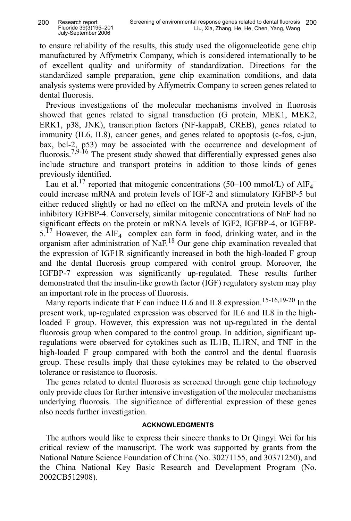to ensure reliability of the results, this study used the oligonucleotide gene chip manufactured by Affymetrix Company, which is considered internationally to be of excellent quality and uniformity of standardization. Directions for the standardized sample preparation, gene chip examination conditions, and data analysis systems were provided by Affymetrix Company to screen genes related to dental fluorosis.

Previous investigations of the molecular mechanisms involved in fluorosis showed that genes related to signal transduction (G protein, MEK1, MEK2, ERK1, p38, JNK), transcription factors (NF-kappaB, CREB), genes related to immunity (IL6, IL8), cancer genes, and genes related to apoptosis (c-fos, c-jun, bax, bcl-2, p53) may be associated with the occurrence and development of fluorosis.<sup>7,9-16</sup> The present study showed that differentially expressed genes also include structure and transport proteins in addition to those kinds of genes previously identified.

Lau et al.<sup>17</sup> reported that mitogenic concentrations (50–100 mmol/L) of  $AIF_4^$ could increase mRNA and protein levels of IGF-2 and stimulatory IGFBP-5 but either reduced slightly or had no effect on the mRNA and protein levels of the inhibitory IGFBP-4. Conversely, similar mitogenic concentrations of NaF had no significant effects on the protein or mRNA levels of IGF2, IGFBP-4, or IGFBP- $5^{17}$  However, the AlF<sub>4</sub><sup>-</sup> complex can form in food, drinking water, and in the organism after administration of NaF.18 Our gene chip examination revealed that the expression of IGF1R significantly increased in both the high-loaded F group and the dental fluorosis group compared with control group. Moreover, the IGFBP-7 expression was significantly up-regulated. These results further demonstrated that the insulin-like growth factor (IGF) regulatory system may play an important role in the process of fluorosis.

Many reports indicate that F can induce IL6 and IL8 expression.<sup>15-16,19-20</sup> In the present work, up-regulated expression was observed for IL6 and IL8 in the highloaded F group. However, this expression was not up-regulated in the dental fluorosis group when compared to the control group. In addition, significant upregulations were observed for cytokines such as IL1B, IL1RN, and TNF in the high-loaded F group compared with both the control and the dental fluorosis group. These results imply that these cytokines may be related to the observed tolerance or resistance to fluorosis.

The genes related to dental fluorosis as screened through gene chip technology only provide clues for further intensive investigation of the molecular mechanisms underlying fluorosis. The significance of differential expression of these genes also needs further investigation.

# **ACKNOWLEDGMENTS**

The authors would like to express their sincere thanks to Dr Qingyi Wei for his critical review of the manuscript. The work was supported by grants from the National Nature Science Foundation of China (No. 30271155, and 30371250), and the China National Key Basic Research and Development Program (No. 2002CB512908).